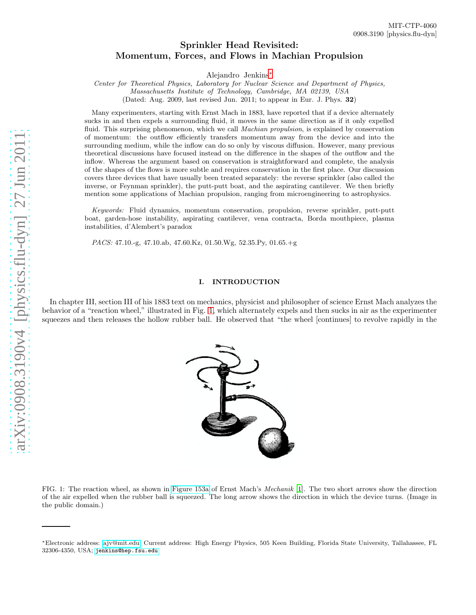# Sprinkler Head Revisited: Momentum, Forces, and Flows in Machian Propulsion

Alejandro Jenkins[∗](#page-0-0)

Center for Theoretical Physics, Laboratory for Nuclear Science and Department of Physics, Massachusetts Institute of Technology, Cambridge, MA 02139, USA

(Dated: Aug. 2009, last revised Jun. 2011; to appear in Eur. J. Phys. 32)

Many experimenters, starting with Ernst Mach in 1883, have reported that if a device alternately sucks in and then expels a surrounding fluid, it moves in the same direction as if it only expelled fluid. This surprising phenomenon, which we call *Machian propulsion*, is explained by conservation of momentum: the outflow efficiently transfers momentum away from the device and into the surrounding medium, while the inflow can do so only by viscous diffusion. However, many previous theoretical discussions have focused instead on the difference in the shapes of the outflow and the inflow. Whereas the argument based on conservation is straightforward and complete, the analysis of the shapes of the flows is more subtle and requires conservation in the first place. Our discussion covers three devices that have usually been treated separately: the reverse sprinkler (also called the inverse, or Feynman sprinkler), the putt-putt boat, and the aspirating cantilever. We then briefly mention some applications of Machian propulsion, ranging from microengineering to astrophysics.

Keywords: Fluid dynamics, momentum conservation, propulsion, reverse sprinkler, putt-putt boat, garden-hose instability, aspirating cantilever, vena contracta, Borda mouthpiece, plasma instabilities, d'Alembert's paradox

PACS: 47.10.-g, 47.10.ab, 47.60.Kz, 01.50.Wg, 52.35.Py, 01.65.+g

## I. INTRODUCTION

In chapter III, section III of his 1883 text on mechanics, physicist and philosopher of science Ernst Mach analyzes the behavior of a "reaction wheel," illustrated in Fig. [1,](#page-0-1) which alternately expels and then sucks in air as the experimenter squeezes and then releases the hollow rubber ball. He observed that "the wheel [continues] to revolve rapidly in the

<span id="page-0-1"></span>

<span id="page-0-0"></span><sup>∗</sup>Electronic address: [ajv@mit.edu;](mailto:ajv@mit.edu) Current address: High Energy Physics, 505 Keen Building, Florida State University, Tallahassee, FL 32306-4350, USA; <jenkins@hep.fsu.edu>

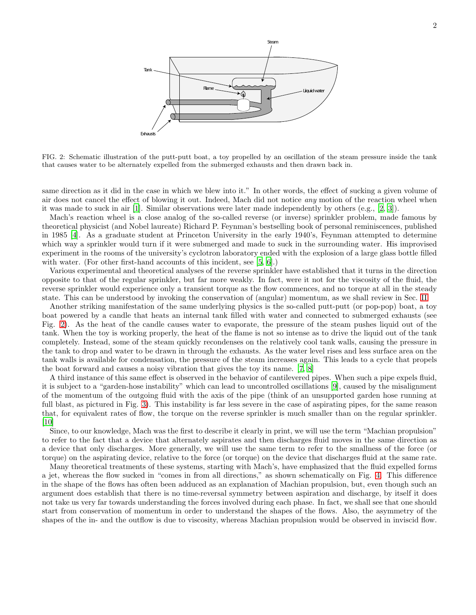

<span id="page-1-0"></span>FIG. 2: Schematic illustration of the putt-putt boat, a toy propelled by an oscillation of the steam pressure inside the tank that causes water to be alternately expelled from the submerged exhausts and then drawn back in.

same direction as it did in the case in which we blew into it." In other words, the effect of sucking a given volume of air does not cancel the effect of blowing it out. Indeed, Mach did not notice any motion of the reaction wheel when it was made to suck in air [\[1](#page-9-0)]. Similar observations were later made independently by others (e.g., [\[2](#page-9-1), [3](#page-9-2)]).

Mach's reaction wheel is a close analog of the so-called reverse (or inverse) sprinkler problem, made famous by theoretical physicist (and Nobel laureate) Richard P. Feynman's bestselling book of personal reminiscences, published in 1985 [\[4](#page-9-3)]. As a graduate student at Princeton University in the early 1940's, Feynman attempted to determine which way a sprinkler would turn if it were submerged and made to suck in the surrounding water. His improvised experiment in the rooms of the university's cyclotron laboratory ended with the explosion of a large glass bottle filled with water. (For other first-hand accounts of this incident, see [\[5](#page-9-4), [6](#page-9-5)].)

Various experimental and theoretical analyses of the reverse sprinkler have established that it turns in the direction opposite to that of the regular sprinkler, but far more weakly. In fact, were it not for the viscosity of the fluid, the reverse sprinkler would experience only a transient torque as the flow commences, and no torque at all in the steady state. This can be understood by invoking the conservation of (angular) momentum, as we shall review in Sec. [II.](#page-2-0)

Another striking manifestation of the same underlying physics is the so-called putt-putt (or pop-pop) boat, a toy boat powered by a candle that heats an internal tank filled with water and connected to submerged exhausts (see Fig. [2\)](#page-1-0). As the heat of the candle causes water to evaporate, the pressure of the steam pushes liquid out of the tank. When the toy is working properly, the heat of the flame is not so intense as to drive the liquid out of the tank completely. Instead, some of the steam quickly recondenses on the relatively cool tank walls, causing the pressure in the tank to drop and water to be drawn in through the exhausts. As the water level rises and less surface area on the tank walls is available for condensation, the pressure of the steam increases again. This leads to a cycle that propels the boat forward and causes a noisy vibration that gives the toy its name. [\[7,](#page-9-6) [8](#page-9-7)]

A third instance of this same effect is observed in the behavior of cantilevered pipes. When such a pipe expels fluid, it is subject to a "garden-hose instability" which can lead to uncontrolled oscillations [\[9](#page-9-8)], caused by the misalignment of the momentum of the outgoing fluid with the axis of the pipe (think of an unsupported garden hose running at full blast, as pictured in Fig. [3\)](#page-2-1). This instability is far less severe in the case of aspirating pipes, for the same reason that, for equivalent rates of flow, the torque on the reverse sprinkler is much smaller than on the regular sprinkler. [\[10\]](#page-9-9)

Since, to our knowledge, Mach was the first to describe it clearly in print, we will use the term "Machian propulsion" to refer to the fact that a device that alternately aspirates and then discharges fluid moves in the same direction as a device that only discharges. More generally, we will use the same term to refer to the smallness of the force (or torque) on the aspirating device, relative to the force (or torque) on the device that discharges fluid at the same rate.

Many theoretical treatments of these systems, starting with Mach's, have emphasized that the fluid expelled forms a jet, whereas the flow sucked in "comes in from all directions," as shown schematically on Fig. [4.](#page-2-2) This difference in the shape of the flows has often been adduced as an explanation of Machian propulsion, but, even though such an argument does establish that there is no time-reversal symmetry between aspiration and discharge, by itself it does not take us very far towards understanding the forces involved during each phase. In fact, we shall see that one should start from conservation of momentum in order to understand the shapes of the flows. Also, the asymmetry of the shapes of the in- and the outflow is due to viscosity, whereas Machian propulsion would be observed in inviscid flow.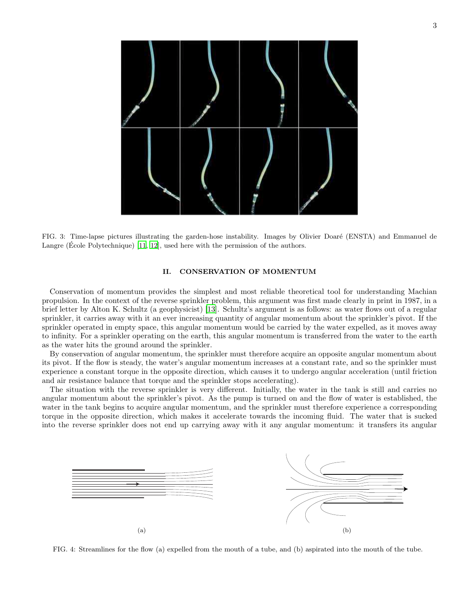

<span id="page-2-1"></span>FIG. 3: Time-lapse pictures illustrating the garden-hose instability. Images by Olivier Doaré (ENSTA) and Emmanuel de Langre (Ecole Polytechnique)  $[11, 12]$  $[11, 12]$ , used here with the permission of the authors.

## <span id="page-2-0"></span>II. CONSERVATION OF MOMENTUM

Conservation of momentum provides the simplest and most reliable theoretical tool for understanding Machian propulsion. In the context of the reverse sprinkler problem, this argument was first made clearly in print in 1987, in a brief letter by Alton K. Schultz (a geophysicist) [\[13\]](#page-9-12). Schultz's argument is as follows: as water flows out of a regular sprinkler, it carries away with it an ever increasing quantity of angular momentum about the sprinkler's pivot. If the sprinkler operated in empty space, this angular momentum would be carried by the water expelled, as it moves away to infinity. For a sprinkler operating on the earth, this angular momentum is transferred from the water to the earth as the water hits the ground around the sprinkler.

By conservation of angular momentum, the sprinkler must therefore acquire an opposite angular momentum about its pivot. If the flow is steady, the water's angular momentum increases at a constant rate, and so the sprinkler must experience a constant torque in the opposite direction, which causes it to undergo angular acceleration (until friction and air resistance balance that torque and the sprinkler stops accelerating).

The situation with the reverse sprinkler is very different. Initially, the water in the tank is still and carries no angular momentum about the sprinkler's pivot. As the pump is turned on and the flow of water is established, the water in the tank begins to acquire angular momentum, and the sprinkler must therefore experience a corresponding torque in the opposite direction, which makes it accelerate towards the incoming fluid. The water that is sucked into the reverse sprinkler does not end up carrying away with it any angular momentum: it transfers its angular



<span id="page-2-2"></span>FIG. 4: Streamlines for the flow (a) expelled from the mouth of a tube, and (b) aspirated into the mouth of the tube.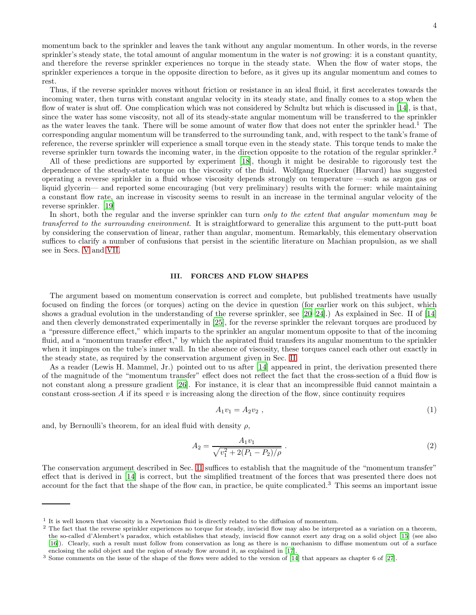momentum back to the sprinkler and leaves the tank without any angular momentum. In other words, in the reverse sprinkler's steady state, the total amount of angular momentum in the water is not growing: it is a constant quantity, and therefore the reverse sprinkler experiences no torque in the steady state. When the flow of water stops, the sprinkler experiences a torque in the opposite direction to before, as it gives up its angular momentum and comes to rest.

Thus, if the reverse sprinkler moves without friction or resistance in an ideal fluid, it first accelerates towards the incoming water, then turns with constant angular velocity in its steady state, and finally comes to a stop when the flow of water is shut off. One complication which was not considered by Schultz but which is discussed in [\[14\]](#page-9-13), is that, since the water has some viscosity, not all of its steady-state angular momentum will be transferred to the sprinkler as the water leaves the tank. There will be some amount of water flow that does not enter the sprinkler head.<sup>1</sup> The corresponding angular momentum will be transferred to the surrounding tank, and, with respect to the tank's frame of reference, the reverse sprinkler will experience a small torque even in the steady state. This torque tends to make the reverse sprinkler turn towards the incoming water, in the direction opposite to the rotation of the regular sprinkler.<sup>2</sup>

All of these predictions are supported by experiment [\[18](#page-9-14)], though it might be desirable to rigorously test the dependence of the steady-state torque on the viscosity of the fluid. Wolfgang Rueckner (Harvard) has suggested operating a reverse sprinkler in a fluid whose viscosity depends strongly on temperature —such as argon gas or liquid glycerin— and reported some encouraging (but very preliminary) results with the former: while maintaining a constant flow rate, an increase in viscosity seems to result in an increase in the terminal angular velocity of the reverse sprinkler. [\[19](#page-9-15)]

In short, both the regular and the inverse sprinkler can turn only to the extent that angular momentum may be transferred to the surrounding environment. It is straightforward to generalize this argument to the putt-putt boat by considering the conservation of linear, rather than angular, momentum. Remarkably, this elementary observation suffices to clarify a number of confusions that persist in the scientific literature on Machian propulsion, as we shall see in Secs. [V](#page-6-0) and [VII.](#page-8-0)

#### III. FORCES AND FLOW SHAPES

The argument based on momentum conservation is correct and complete, but published treatments have usually focused on finding the forces (or torques) acting on the device in question (for earlier work on this subject, which shows a gradual evolution in the understanding of the reverse sprinkler, see [\[20](#page-9-16)[–24](#page-9-17)].) As explained in Sec. II of [\[14](#page-9-13)] and then cleverly demonstrated experimentally in [\[25](#page-9-18)], for the reverse sprinkler the relevant torques are produced by a "pressure difference effect," which imparts to the sprinkler an angular momentum opposite to that of the incoming fluid, and a "momentum transfer effect," by which the aspirated fluid transfers its angular momentum to the sprinkler when it impinges on the tube's inner wall. In the absence of viscosity, these torques cancel each other out exactly in the steady state, as required by the conservation argument given in Sec. [II.](#page-2-0)

As a reader (Lewis H. Mammel, Jr.) pointed out to us after [\[14\]](#page-9-13) appeared in print, the derivation presented there of the magnitude of the "momentum transfer" effect does not reflect the fact that the cross-section of a fluid flow is not constant along a pressure gradient [\[26\]](#page-9-19). For instance, it is clear that an incompressible fluid cannot maintain a constant cross-section  $A$  if its speed  $v$  is increasing along the direction of the flow, since continuity requires

$$
A_1 v_1 = A_2 v_2 \t\t(1)
$$

and, by Bernoulli's theorem, for an ideal fluid with density  $\rho$ ,

$$
A_2 = \frac{A_1 v_1}{\sqrt{v_1^2 + 2(P_1 - P_2)/\rho}}.
$$
\n(2)

The conservation argument described in Sec. [II](#page-2-0) suffices to establish that the magnitude of the "momentum transfer" effect that is derived in [\[14](#page-9-13)] is correct, but the simplified treatment of the forces that was presented there does not account for the fact that the shape of the flow can, in practice, be quite complicated.<sup>3</sup> This seems an important issue

<sup>&</sup>lt;sup>1</sup> It is well known that viscosity in a Newtonian fluid is directly related to the diffusion of momentum.

<sup>&</sup>lt;sup>2</sup> The fact that the reverse sprinkler experiences no torque for steady, inviscid flow may also be interpreted as a variation on a theorem, the so-called d'Alembert's paradox, which establishes that steady, inviscid flow cannot exert any drag on a solid object [\[15\]](#page-9-20) (see also [\[16](#page-9-21)]). Clearly, such a result must follow from conservation as long as there is no mechanism to diffuse momentum out of a surface enclosing the solid object and the region of steady flow around it, as explained in [\[17\]](#page-9-22).

<sup>3</sup> Some comments on the issue of the shape of the flows were added to the version of [\[14](#page-9-13)] that appears as chapter 6 of [\[27\]](#page-9-23).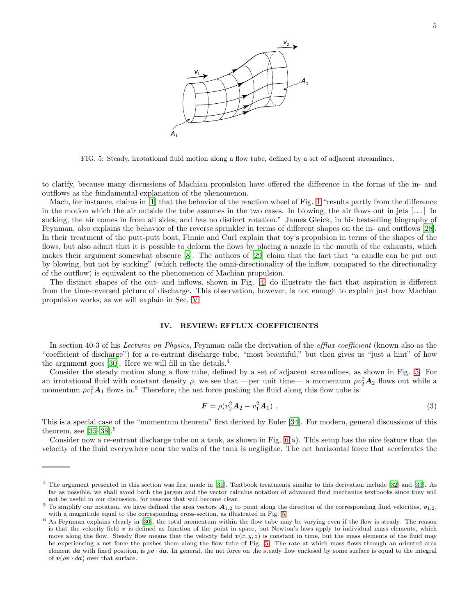

<span id="page-4-0"></span>FIG. 5: Steady, irrotational fluid motion along a flow tube, defined by a set of adjacent streamlines.

to clarify, because many discussions of Machian propulsion have offered the difference in the forms of the in- and outflows as the fundamental explanation of the phenomenon.

Mach, for instance, claims in [\[1\]](#page-9-0) that the behavior of the reaction wheel of Fig. [1](#page-0-1) "results partly from the difference in the motion which the air outside the tube assumes in the two cases. In blowing, the air flows out in jets  $[\ldots]$  In sucking, the air comes in from all sides, and has no distinct rotation." James Gleick, in his bestselling biography of Feynman, also explains the behavior of the reverse sprinkler in terms of different shapes on the in- and outflows [\[28\]](#page-9-24). In their treatment of the putt-putt boat, Finnie and Curl explain that toy's propulsion in terms of the shapes of the flows, but also admit that it is possible to deform the flows by placing a nozzle in the mouth of the exhausts, which makes their argument somewhat obscure [\[8](#page-9-7)]. The authors of [\[29\]](#page-9-25) claim that the fact that "a candle can be put out by blowing, but not by sucking" (which reflects the omni-directionality of the inflow, compared to the directionality of the outflow) is equivalent to the phenomenon of Machian propulsion.

The distinct shapes of the out- and inflows, shown in Fig. [4,](#page-2-2) do illustrate the fact that aspiration is different from the time-reversed picture of discharge. This observation, however, is not enough to explain just how Machian propulsion works, as we will explain in Sec. [V.](#page-6-0)

#### <span id="page-4-2"></span>IV. REVIEW: EFFLUX COEFFICIENTS

In section 40-3 of his Lectures on Physics, Feynman calls the derivation of the efflux coefficient (known also as the "coefficient of discharge") for a re-entrant discharge tube, "most beautiful," but then gives us "just a hint" of how the argument goes  $[30]$ . Here we will fill in the details.<sup>4</sup>

Consider the steady motion along a flow tube, defined by a set of adjacent streamlines, as shown in Fig. [5.](#page-4-0) For an irrotational fluid with constant density  $\rho$ , we see that —per unit time— a momentum  $\rho v_2^2 \mathbf{A}_2$  flows out while a momentum  $\rho v_1^2 A_1$  flows in.<sup>5</sup> Therefore, the net force pushing the fluid along this flow tube is

<span id="page-4-1"></span>
$$
F = \rho(v_2^2 A_2 - v_1^2 A_1) \tag{3}
$$

This is a special case of the "momentum theorem" first derived by Euler [\[34\]](#page-10-0). For modern, general discussions of this theorem, see [\[35](#page-10-1)[–38](#page-10-2)].<sup>6</sup>

Consider now a re-entrant discharge tube on a tank, as shown in Fig. [6\(](#page-5-0)a). This setup has the nice feature that the velocity of the fluid everywhere near the walls of the tank is negligible. The net horizontal force that accelerates the

<sup>4</sup> The argument presented in this section was first made in [\[31\]](#page-9-27). Textbook treatments similar to this derivation include [\[32](#page-10-3)] and [\[33\]](#page-10-4). As far as possible, we shall avoid both the jargon and the vector calculus notation of advanced fluid mechanics textbooks since they will not be useful in our discussion, for reasons that will become clear.

<sup>&</sup>lt;sup>5</sup> To simplify our notation, we have defined the area vectors  $A_{1,2}$  to point along the direction of the corresponding fluid velocities,  $v_{1,2}$ , with a magnitude equal to the corresponding cross-section, as illustrated in Fig. [5.](#page-4-0)

<sup>&</sup>lt;sup>6</sup> As Feynman explains clearly in [\[30](#page-9-26)], the total momentum within the flow tube may be varying even if the flow is steady. The reason is that the velocity field  $v$  is defined as function of the point in space, but Newton's laws apply to individual mass elements, which move along the flow. Steady flow means that the velocity field  $v(x, y, z)$  is constant in time, but the mass elements of the fluid may be experiencing a net force the pushes them along the flow tube of Fig. [5.](#page-4-0) The rate at which mass flows through an oriented area element da with fixed position, is  $\rho v \cdot da$ . In general, the net force on the steady flow enclosed by some surface is equal to the integral of  $v(\rho v \cdot da)$  over that surface.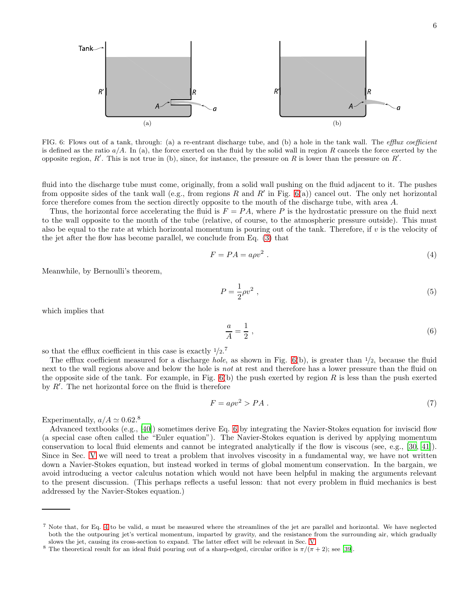

<span id="page-5-0"></span>FIG. 6: Flows out of a tank, through: (a) a re-entrant discharge tube, and (b) a hole in the tank wall. The efflux coefficient is defined as the ratio  $a/A$ . In (a), the force exerted on the fluid by the solid wall in region R cancels the force exerted by the opposite region, R'. This is not true in (b), since, for instance, the pressure on R is lower than the pressure on R'.

fluid into the discharge tube must come, originally, from a solid wall pushing on the fluid adjacent to it. The pushes from opposite sides of the tank wall (e.g., from regions R and R' in Fig.  $6(a)$ ) cancel out. The only net horizontal force therefore comes from the section directly opposite to the mouth of the discharge tube, with area A.

Thus, the horizontal force accelerating the fluid is  $F = PA$ , where P is the hydrostatic pressure on the fluid next to the wall opposite to the mouth of the tube (relative, of course, to the atmospheric pressure outside). This must also be equal to the rate at which horizontal momentum is pouring out of the tank. Therefore, if  $v$  is the velocity of the jet after the flow has become parallel, we conclude from Eq. [\(3\)](#page-4-1) that

<span id="page-5-2"></span>
$$
F = PA = a\rho v^2 \tag{4}
$$

Meanwhile, by Bernoulli's theorem,

$$
P = \frac{1}{2}\rho v^2 \tag{5}
$$

which implies that

<span id="page-5-1"></span>
$$
\frac{a}{A} = \frac{1}{2} \tag{6}
$$

so that the efflux coefficient in this case is exactly  $1/2$ .<sup>7</sup>

The efflux coefficient measured for a discharge *hole*, as shown in Fig.  $6(b)$ , is greater than  $1/2$ , because the fluid next to the wall regions above and below the hole is not at rest and therefore has a lower pressure than the fluid on the opposite side of the tank. For example, in Fig.  $6(b)$  the push exerted by region R is less than the push exerted by  $R'$ . The net horizontal force on the fluid is therefore

$$
F = a\rho v^2 > PA \tag{7}
$$

Experimentally,  $a/A \simeq 0.62$ .<sup>8</sup>

Advanced textbooks (e.g., [\[40\]](#page-10-5)) sometimes derive Eq. [6](#page-5-1) by integrating the Navier-Stokes equation for inviscid flow (a special case often called the "Euler equation"). The Navier-Stokes equation is derived by applying momentum conservation to local fluid elements and cannot be integrated analytically if the flow is viscous (see, e.g., [\[30](#page-9-26), [41\]](#page-10-6)). Since in Sec. [V](#page-6-0) we will need to treat a problem that involves viscosity in a fundamental way, we have not written down a Navier-Stokes equation, but instead worked in terms of global momentum conservation. In the bargain, we avoid introducing a vector calculus notation which would not have been helpful in making the arguments relevant to the present discussion. (This perhaps reflects a useful lesson: that not every problem in fluid mechanics is best addressed by the Navier-Stokes equation.)

<sup>&</sup>lt;sup>7</sup> Note that, for Eq. [4](#page-5-2) to be valid, a must be measured where the streamlines of the jet are parallel and horizontal. We have neglected both the the outpouring jet's vertical momentum, imparted by gravity, and the resistance from the surrounding air, which gradually slows the jet, causing its cross-section to expand. The latter effect will be relevant in Sec. [V.](#page-6-0)

<sup>&</sup>lt;sup>8</sup> The theoretical result for an ideal fluid pouring out of a sharp-edged, circular orifice is  $\pi/(\pi+2)$ ; see [\[39](#page-10-7)].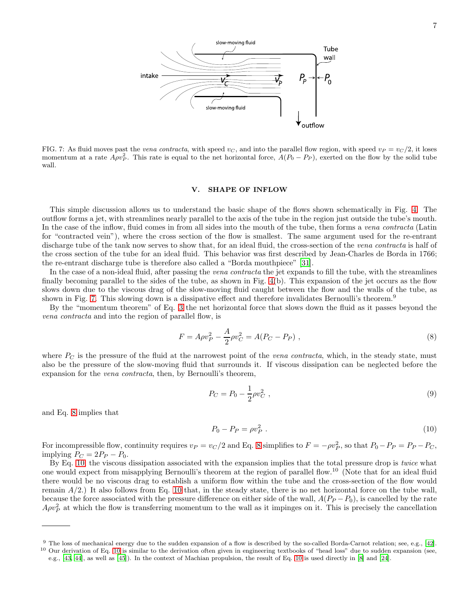

<span id="page-6-1"></span>FIG. 7: As fluid moves past the *vena contracta*, with speed  $v_c$ , and into the parallel flow region, with speed  $v_P = v_C/2$ , it loses momentum at a rate  $A\rho v_P^2$ . This rate is equal to the net horizontal force,  $A(P_0 - P_P)$ , exerted on the flow by the solid tube wall.

#### <span id="page-6-0"></span>V. SHAPE OF INFLOW

This simple discussion allows us to understand the basic shape of the flows shown schematically in Fig. [4.](#page-2-2) The outflow forms a jet, with streamlines nearly parallel to the axis of the tube in the region just outside the tube's mouth. In the case of the inflow, fluid comes in from all sides into the mouth of the tube, then forms a vena contracta (Latin for "contracted vein"), where the cross section of the flow is smallest. The same argument used for the re-entrant discharge tube of the tank now serves to show that, for an ideal fluid, the cross-section of the vena contracta is half of the cross section of the tube for an ideal fluid. This behavior was first described by Jean-Charles de Borda in 1766; the re-entrant discharge tube is therefore also called a "Borda mouthpiece" [\[31](#page-9-27)].

In the case of a non-ideal fluid, after passing the vena contracta the jet expands to fill the tube, with the streamlines finally becoming parallel to the sides of the tube, as shown in Fig. [4\(](#page-2-2)b). This expansion of the jet occurs as the flow slows down due to the viscous drag of the slow-moving fluid caught between the flow and the walls of the tube, as shown in Fig. [7.](#page-6-1) This slowing down is a dissipative effect and therefore invalidates Bernoulli's theorem.<sup>9</sup>

By the "momentum theorem" of Eq. [3](#page-4-1) the net horizontal force that slows down the fluid as it passes beyond the vena contracta and into the region of parallel flow, is

<span id="page-6-2"></span>
$$
F = A\rho v_P^2 - \frac{A}{2}\rho v_C^2 = A(P_C - P_P) \tag{8}
$$

where  $P_C$  is the pressure of the fluid at the narrowest point of the vena contracta, which, in the steady state, must also be the pressure of the slow-moving fluid that surrounds it. If viscous dissipation can be neglected before the expansion for the *vena contracta*, then, by Bernoulli's theorem,

<span id="page-6-4"></span>
$$
P_C = P_0 - \frac{1}{2}\rho v_C^2 \t\t(9)
$$

and Eq. [8](#page-6-2) implies that

<span id="page-6-3"></span>
$$
P_0 - P_P = \rho v_P^2 \tag{10}
$$

For incompressible flow, continuity requires  $v_P = v_C/2$  and Eq. [8](#page-6-2) simplifies to  $F = -\rho v_P^2$ , so that  $P_0 - P_P = P_P - P_C$ , implying  $P_C = 2P_P - P_0$ .

By Eq. [10,](#page-6-3) the viscous dissipation associated with the expansion implies that the total pressure drop is twice what one would expect from misapplying Bernoulli's theorem at the region of parallel flow.<sup>10</sup> (Note that for an ideal fluid there would be no viscous drag to establish a uniform flow within the tube and the cross-section of the flow would remain  $A/2$ .) It also follows from Eq. [10](#page-6-3) that, in the steady state, there is no net horizontal force on the tube wall, because the force associated with the pressure difference on either side of the wall,  $A(P_P - P_0)$ , is cancelled by the rate  $A \rho v_P^2$  at which the flow is transferring momentum to the wall as it impinges on it. This is precisely the cancellation

<sup>9</sup> The loss of mechanical energy due to the sudden expansion of a flow is described by the so-called Borda-Carnot relation; see, e.g., [\[42](#page-10-8)]. <sup>10</sup> Our derivation of Eq. [10](#page-6-3) is similar to the derivation often given in engineering textbooks of "head loss" due to sudden expansion (see,

e.g., [\[43](#page-10-9), [44\]](#page-10-10), as well as [\[45](#page-10-11)]). In the context of Machian propulsion, the result of Eq. [10](#page-6-3) is used directly in [\[8\]](#page-9-7) and [\[24\]](#page-9-17).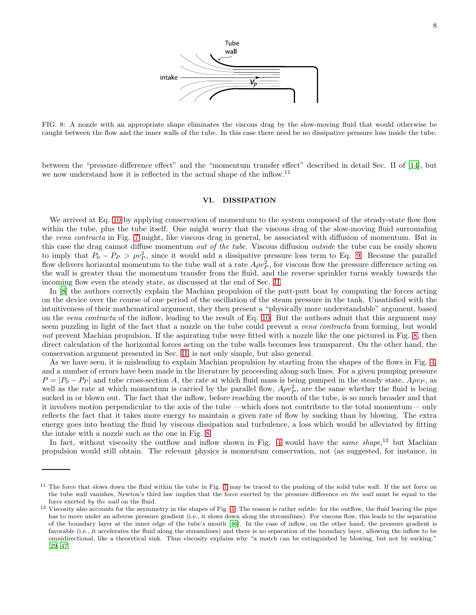

<span id="page-7-0"></span>FIG. 8: A nozzle with an appropriate shape eliminates the viscous drag by the slow-moving fluid that would otherwise be caught between the flow and the inner walls of the tube. In this case there need be no dissipative pressure loss inside the tube.

between the "pressure difference effect" and the "momentum transfer effect" described in detail Sec. II of [\[14\]](#page-9-13), but we now understand how it is reflected in the actual shape of the inflow.<sup>11</sup>

## VI. DISSIPATION

We arrived at Eq. [10](#page-6-3) by applying conservation of momentum to the system composed of the steady-state flow flow within the tube, plus the tube itself. One might worry that the viscous drag of the slow-moving fluid surrounding the vena contracta in Fig. [7](#page-6-1) might, like viscous drag in general, be associated with diffusion of momentum. But in this case the drag cannot diffuse momentum *out of the tube*. Viscous diffusion *outside* the tube can be easily shown to imply that  $P_0 - P_P > \rho v_P^2$ , since it would add a dissipative pressure loss term to Eq. [9.](#page-6-4) Because the parallel flow delivers horizontal momentum to the tube wall at a rate  $A\rho v_P^2$ , for viscous flow the pressure difference acting on the wall is greater than the momentum transfer from the fluid, and the reverse sprinkler turns weakly towards the incoming flow even the steady state, as discussed at the end of Sec. [II.](#page-2-0)

In [\[8\]](#page-9-7) the authors correctly explain the Machian propulsion of the putt-putt boat by computing the forces acting on the device over the course of one period of the oscillation of the steam pressure in the tank. Unsatisfied with the intuitiveness of their mathematical argument, they then present a "physically more understandable" argument, based on the vena contracta of the inflow, leading to the result of Eq. [10.](#page-6-3) But the authors admit that this argument may seem puzzling in light of the fact that a nozzle on the tube could prevent a vena contracta from forming, but would not prevent Machian propulsion. If the aspirating tube were fitted with a nozzle like the one pictured in Fig. [8,](#page-7-0) then direct calculation of the horizontal forces acting on the tube walls becomes less transparent. On the other hand, the conservation argument presented in Sec. [II,](#page-2-0) is not only simple, but also general.

As we have seen, it is misleading to explain Machian propulsion by starting from the shapes of the flows in Fig. [4,](#page-2-2) and a number of errors have been made in the literature by proceeding along such lines. For a given pumping pressure  $P = |P_0 - P_P|$  and tube cross-section A, the rate at which fluid mass is being pumped in the steady state,  $A \rho v_P$ , as well as the rate at which momentum is carried by the parallel flow,  $A\rho v_P^2$ , are the same whether the fluid is being sucked in or blown out. The fact that the inflow, before reaching the mouth of the tube, is so much broader and that it involves motion perpendicular to the axis of the tube —which does not contribute to the total momentum— only reflects the fact that it takes more energy to maintain a given rate of flow by sucking than by blowing. The extra energy goes into heating the fluid by viscous dissipation and turbulence, a loss which would be alleviated by fitting the intake with a nozzle such as the one in Fig. [8.](#page-7-0)

In fact, without viscosity the outflow and inflow shown in Fig. [4](#page-2-2) would have the same shape,<sup>12</sup> but Machian propulsion would still obtain. The relevant physics is momentum conservation, not (as suggested, for instance, in

<sup>&</sup>lt;sup>11</sup> The force that slows down the fluid within the tube in Fig. [7](#page-6-1) may be traced to the pushing of the solid tube wall. If the net force on the tube wall vanishes, Newton's third law implies that the force exerted by the pressure difference on the wall must be equal to the force exerted by the wall on the fluid.

 $12$  Viscosity also accounts for the asymmetry in the shapes of Fig. [4.](#page-2-2) The reason is rather subtle: for the outflow, the fluid leaving the pipe has to move under an adverse pressure gradient (i.e., it slows down along the streamlines). For viscous flow, this leads to the separation of the boundary layer at the inner edge of the tube's mouth [\[46\]](#page-10-12). In the case of inflow, on the other hand, the pressure gradient is favorable (i.e., it accelerates the fluid along the streamlines) and there is no separation of the boundary layer, allowing the inflow to be omnidirectional, like a theoretical sink. Thus viscosity explains why "a match can be extinguished by blowing, but not by sucking." [\[29](#page-9-25), [47\]](#page-10-13)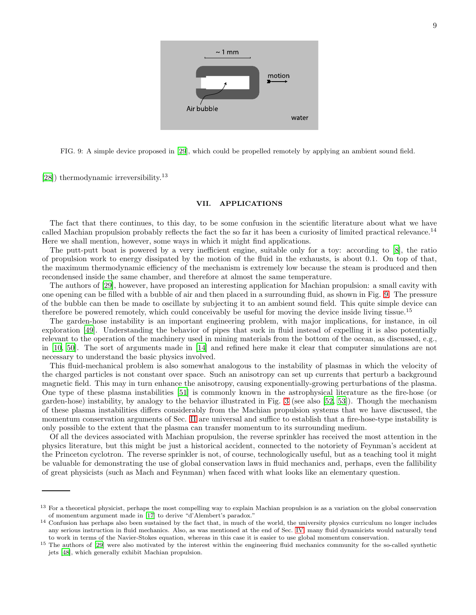

<span id="page-8-1"></span>FIG. 9: A simple device proposed in [\[29](#page-9-25)], which could be propelled remotely by applying an ambient sound field.

[\[28\]](#page-9-24)) thermodynamic irreversibility.<sup>13</sup>

## <span id="page-8-0"></span>VII. APPLICATIONS

The fact that there continues, to this day, to be some confusion in the scientific literature about what we have called Machian propulsion probably reflects the fact the so far it has been a curiosity of limited practical relevance.<sup>14</sup> Here we shall mention, however, some ways in which it might find applications.

The putt-putt boat is powered by a very inefficient engine, suitable only for a toy: according to [\[8\]](#page-9-7), the ratio of propulsion work to energy dissipated by the motion of the fluid in the exhausts, is about 0.1. On top of that, the maximum thermodynamic efficiency of the mechanism is extremely low because the steam is produced and then recondensed inside the same chamber, and therefore at almost the same temperature.

The authors of [\[29\]](#page-9-25), however, have proposed an interesting application for Machian propulsion: a small cavity with one opening can be filled with a bubble of air and then placed in a surrounding fluid, as shown in Fig. [9.](#page-8-1) The pressure of the bubble can then be made to oscillate by subjecting it to an ambient sound field. This quite simple device can therefore be powered remotely, which could conceivably be useful for moving the device inside living tissue.<sup>15</sup>

The garden-hose instability is an important engineering problem, with major implications, for instance, in oil exploration [\[49\]](#page-10-14). Understanding the behavior of pipes that suck in fluid instead of expelling it is also potentially relevant to the operation of the machinery used in mining materials from the bottom of the ocean, as discussed, e.g., in [\[10](#page-9-9), [50\]](#page-10-15). The sort of arguments made in [\[14](#page-9-13)] and refined here make it clear that computer simulations are not necessary to understand the basic physics involved.

This fluid-mechanical problem is also somewhat analogous to the instability of plasmas in which the velocity of the charged particles is not constant over space. Such an anisotropy can set up currents that perturb a background magnetic field. This may in turn enhance the anisotropy, causing exponentially-growing perturbations of the plasma. One type of these plasma instabilities [\[51\]](#page-10-16) is commonly known in the astrophysical literature as the fire-hose (or garden-hose) instability, by analogy to the behavior illustrated in Fig. [3](#page-2-1) (see also [\[52,](#page-10-17) [53\]](#page-10-18)). Though the mechanism of these plasma instabilities differs considerably from the Machian propulsion systems that we have discussed, the momentum conservation arguments of Sec. [II](#page-2-0) are universal and suffice to establish that a fire-hose-type instability is only possible to the extent that the plasma can transfer momentum to its surrounding medium.

Of all the devices associated with Machian propulsion, the reverse sprinkler has received the most attention in the physics literature, but this might be just a historical accident, connected to the notoriety of Feynman's accident at the Princeton cyclotron. The reverse sprinkler is not, of course, technologically useful, but as a teaching tool it might be valuable for demonstrating the use of global conservation laws in fluid mechanics and, perhaps, even the fallibility of great physicists (such as Mach and Feynman) when faced with what looks like an elementary question.

<sup>&</sup>lt;sup>13</sup> For a theoretical physicist, perhaps the most compelling way to explain Machian propulsion is as a variation on the global conservation of momentum argument made in [\[17\]](#page-9-22) to derive "d'Alembert's paradox."

<sup>&</sup>lt;sup>14</sup> Confusion has perhaps also been sustained by the fact that, in much of the world, the university physics curriculum no longer includes any serious instruction in fluid mechanics. Also, as was mentioned at the end of Sec. [IV,](#page-4-2) many fluid dynamicists would naturally tend to work in terms of the Navier-Stokes equation, whereas in this case it is easier to use global momentum conservation.

<sup>&</sup>lt;sup>15</sup> The authors of [\[29](#page-9-25)] were also motivated by the interest within the engineering fluid mechanics community for the so-called synthetic jets [\[48](#page-10-19)], which generally exhibit Machian propulsion.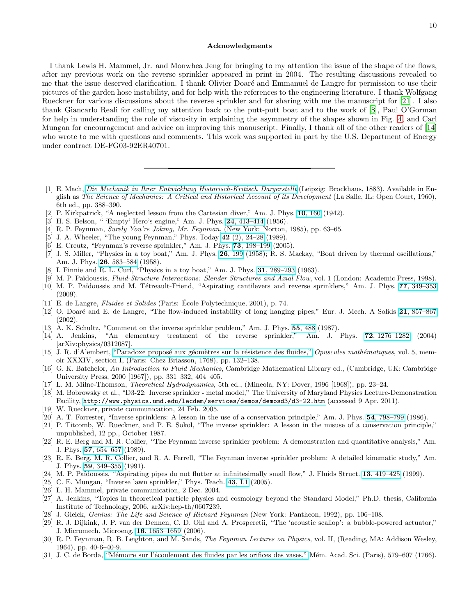#### Acknowledgments

I thank Lewis H. Mammel, Jr. and Monwhea Jeng for bringing to my attention the issue of the shape of the flows, after my previous work on the reverse sprinkler appeared in print in 2004. The resulting discussions revealed to me that the issue deserved clarification. I thank Olivier Doaré and Emmanuel de Langre for permission to use their pictures of the garden hose instability, and for help with the references to the engineering literature. I thank Wolfgang Rueckner for various discussions about the reverse sprinkler and for sharing with me the manuscript for [\[21\]](#page-9-28). I also thank Giancarlo Reali for calling my attention back to the putt-putt boat and to the work of [\[8\]](#page-9-7), Paul O'Gorman for help in understanding the role of viscosity in explaining the asymmetry of the shapes shown in Fig. [4,](#page-2-2) and Carl Mungan for encouragement and advice on improving this manuscript. Finally, I thank all of the other readers of [\[14](#page-9-13)] who wrote to me with questions and comments. This work was supported in part by the U.S. Department of Energy under contract DE-FG03-92ER40701.

- <span id="page-9-0"></span>[1] E. Mach, [Die Mechanik in Ihrer Entwicklung Historisch-Kritisch Dargerstellt](http://echo.mpiwg-berlin.mpg.de/ECHOdocuViewfull?mode=imagepath&url=/mpiwg/online/permanent/einstein_exhibition/sources/Q179XRYG/pageimg&viewMode=images) (Leipzig: Brockhaus, 1883). Available in English as The Science of Mechanics: A Critical and Historical Account of its Development (La Salle, IL: Open Court, 1960), 6th ed., pp. 388–390.
- <span id="page-9-1"></span>[2] P. Kirkpatrick, "A neglected lesson from the Cartesian diver," Am. J. Phys. 10[, 160](http://dx.doi.org/10.1119/1.1990353) (1942).
- <span id="page-9-2"></span>[3] H. S. Belson, " 'Empty' Hero's engine," Am. J. Phys. 24[, 413–414](http://dx.doi.org/10.1119/1.1934244) (1956).
- <span id="page-9-3"></span>[4] R. P. Feynman, Surely You're Joking, Mr. Feynman, (New York: Norton, 1985), pp. 63–65.
- <span id="page-9-4"></span>[5] J. A. Wheeler, "The young Feynman," Phys. Today 42 (2), 24-28 (1989).
- <span id="page-9-5"></span>[6] E. Creutz, "Feynman's reverse sprinkler," Am. J. Phys. **73**[, 198–199](http://dx.doi.org/10.1119/1.1842733) (2005).
- <span id="page-9-6"></span>[7] J. S. Miller, "Physics in a toy boat," Am. J. Phys. 26[, 199](http://dx.doi.org/10.1119/1.1934629) (1958); R. S. Mackay, "Boat driven by thermal oscillations," Am. J. Phys. 26[, 583–584](http://dx.doi.org/10.1119/1.1934696) (1958).
- <span id="page-9-7"></span>[8] I. Finnie and R. L. Curl, "Physics in a toy boat," Am. J. Phys. 31[, 289–293](http://dx.doi.org/10.1119/1.1969435) (1963).
- <span id="page-9-8"></span>[9] M. P. Païdoussis, Fluid-Structure Interactions: Slender Structures and Axial Flow, vol. 1 (London: Academic Press, 1998).
- <span id="page-9-9"></span>[10] M. P. Païdoussis and M. Tétreault-Friend, "Aspirating cantilevers and reverse sprinklers," Am. J. Phys. 77[, 349–353](http://dx.doi.org/10.1119/1.3078416) (2009).
- <span id="page-9-10"></span>[11] E. de Langre, *Fluides et Solides* (Paris: École Polytechnique, 2001), p. 74.
- <span id="page-9-11"></span>[12] O. Doaré and E. de Langre, "The flow-induced instability of long hanging pipes," Eur. J. Mech. A Solids 21[, 857–867](http://dx.doi.org/10.1016/S0997-7538(02)01221-4) (2002).
- <span id="page-9-12"></span>[13] A. K. Schultz, "Comment on the inverse sprinkler problem," Am. J. Phys. 55[, 488](http://dx.doi.org/10.1119/1.15117) (1987).
- <span id="page-9-13"></span>[14] A. Jenkins, "An elementary treatment of the reverse sprinkler," Am. J. Phys. 72[, 1276–1282](http://dx.doi.org/10.1119/1.1761063) (2004) [arXiv:physics/0312087].
- <span id="page-9-20"></span>[15] J. R. d'Alembert, "Paradoxe proposé aux géomètres sur la résistence des fluides," Opuscules mathématiques, vol. 5, memoir XXXIV, section I, (Paris: Chez Briasson, 1768), pp. 132–138.
- <span id="page-9-21"></span>[16] G. K. Batchelor, An Introduction to Fluid Mechanics, Cambridge Mathematical Library ed., (Cambridge, UK: Cambridge University Press, 2000 [1967]), pp. 331–332, 404–405.
- <span id="page-9-22"></span>[17] L. M. Milne-Thomson, Theoretical Hydrodynamics, 5th ed., (Mineola, NY: Dover, 1996 [1968]), pp. 23–24.
- <span id="page-9-14"></span>[18] M. Bobrowsky et al., "D3-22: Inverse sprinkler - metal model," The University of Maryland Physics Lecture-Demonstration Facility, <http://www.physics.umd.edu/lecdem/services/demos/demosd3/d3-22.htm> (accessed 9 Apr. 2011).
- <span id="page-9-15"></span>[19] W. Rueckner, private communication, 24 Feb. 2005.
- <span id="page-9-16"></span>[20] A. T. Forrester, "Inverse sprinklers: A lesson in the use of a conservation principle," Am. J. Phys. 54[, 798–799](http://dx.doi.org/10.1119/1.14448) (1986).
- <span id="page-9-28"></span>[21] P. Titcomb, W. Rueckner, and P. E. Sokol, "The inverse sprinkler: A lesson in the misuse of a conservation principle," unpublished, 12 pp., October 1987.
- [22] R. E. Berg and M. R. Collier, "The Feynman inverse sprinkler problem: A demonstration and quantitative analysis," Am. J. Phys. 57[, 654–657](http://dx.doi.org/10.1119/1.15932) (1989).
- [23] R. E. Berg, M. R. Collier, and R. A. Ferrell, "The Feynman inverse sprinkler problem: A detailed kinematic study," Am. J. Phys. 59[, 349–355](http://dx.doi.org/10.1119/1.16548) (1991).
- <span id="page-9-17"></span>[24] M. P. Païdoussis, "Aspirating pipes do not flutter at infinitesimally small flow," J. Fluids Struct. 13, 419-425 (1999).
- <span id="page-9-18"></span>[25] C. E. Mungan, "Inverse lawn sprinkler," Phys. Teach. **43**[, L1](http://dx.doi.org/10.1119/1.2010427) (2005).
- <span id="page-9-19"></span>[26] L. H. Mammel, private communication, 2 Dec. 2004.
- <span id="page-9-23"></span>[27] A. Jenkins, "Topics in theoretical particle physics and cosmology beyond the Standard Model," Ph.D. thesis, California Institute of Technology, 2006, arXiv:hep-th/0607239.
- <span id="page-9-24"></span>[28] J. Gleick, *Genius: The Life and Science of Richard Feynman* (New York: Pantheon, 1992), pp. 106–108.
- <span id="page-9-25"></span>[29] R. J. Dijkink, J. P. van der Dennen, C. D. Ohl and A. Prosperetii, "The 'acoustic scallop': a bubble-powered actuator," J. Micromech. Microeng. 16[, 1653–1659](http://dx.doi.org/10.1088/0960-1317/16/8/029) (2006).
- <span id="page-9-26"></span>[30] R. P. Feynman, R. B. Leighton, and M. Sands, *The Feynman Lectures on Physics*, vol. II, (Reading, MA: Addison Wesley, 1964), pp. 40-6–40-9.
- <span id="page-9-27"></span>[31] J. C. de Borda, "Mémoire sur l'écoulement des fluides par les orifices des vases," Mém. Acad. Sci. (Paris), 579–607 (1766).